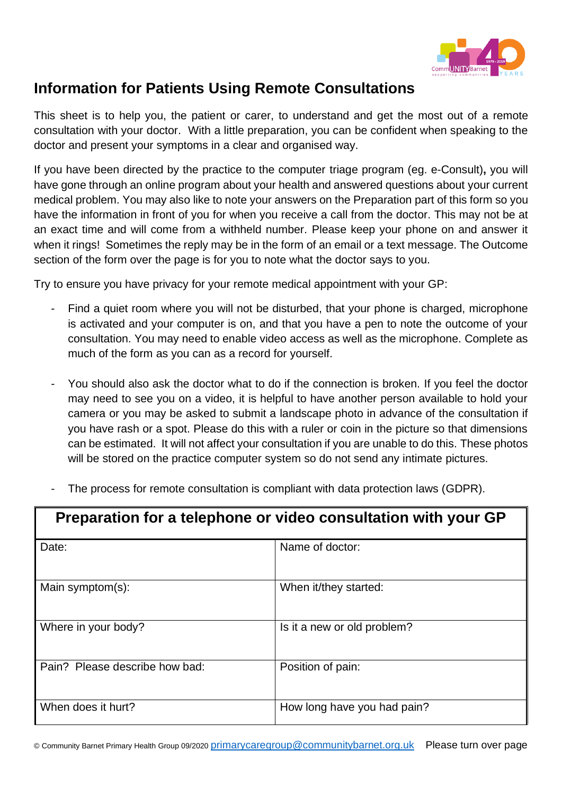

## **Information for Patients Using Remote Consultations**

This sheet is to help you, the patient or carer, to understand and get the most out of a remote consultation with your doctor. With a little preparation, you can be confident when speaking to the doctor and present your symptoms in a clear and organised way.

If you have been directed by the practice to the computer triage program (eg. e-Consult)**,** you will have gone through an online program about your health and answered questions about your current medical problem. You may also like to note your answers on the Preparation part of this form so you have the information in front of you for when you receive a call from the doctor. This may not be at an exact time and will come from a withheld number. Please keep your phone on and answer it when it rings! Sometimes the reply may be in the form of an email or a text message. The Outcome section of the form over the page is for you to note what the doctor says to you.

Try to ensure you have privacy for your remote medical appointment with your GP:

- Find a quiet room where you will not be disturbed, that your phone is charged, microphone is activated and your computer is on, and that you have a pen to note the outcome of your consultation. You may need to enable video access as well as the microphone. Complete as much of the form as you can as a record for yourself.
- You should also ask the doctor what to do if the connection is broken. If you feel the doctor may need to see you on a video, it is helpful to have another person available to hold your camera or you may be asked to submit a landscape photo in advance of the consultation if you have rash or a spot. Please do this with a ruler or coin in the picture so that dimensions can be estimated. It will not affect your consultation if you are unable to do this. These photos will be stored on the practice computer system so do not send any intimate pictures.
- The process for remote consultation is compliant with data protection laws (GDPR).

| Preparation for a telephone or video consultation with your GP |                             |  |
|----------------------------------------------------------------|-----------------------------|--|
| Date:                                                          | Name of doctor:             |  |
| Main symptom(s):                                               | When it/they started:       |  |
| Where in your body?                                            | Is it a new or old problem? |  |
| Pain? Please describe how bad:                                 | Position of pain:           |  |
| When does it hurt?                                             | How long have you had pain? |  |

© Community Barnet Primary Health Group 09/2020 [primarycaregroup@communitybarnet.org.uk](mailto:primarycaregroup@communitybarnet.org.uk) Please turn over page